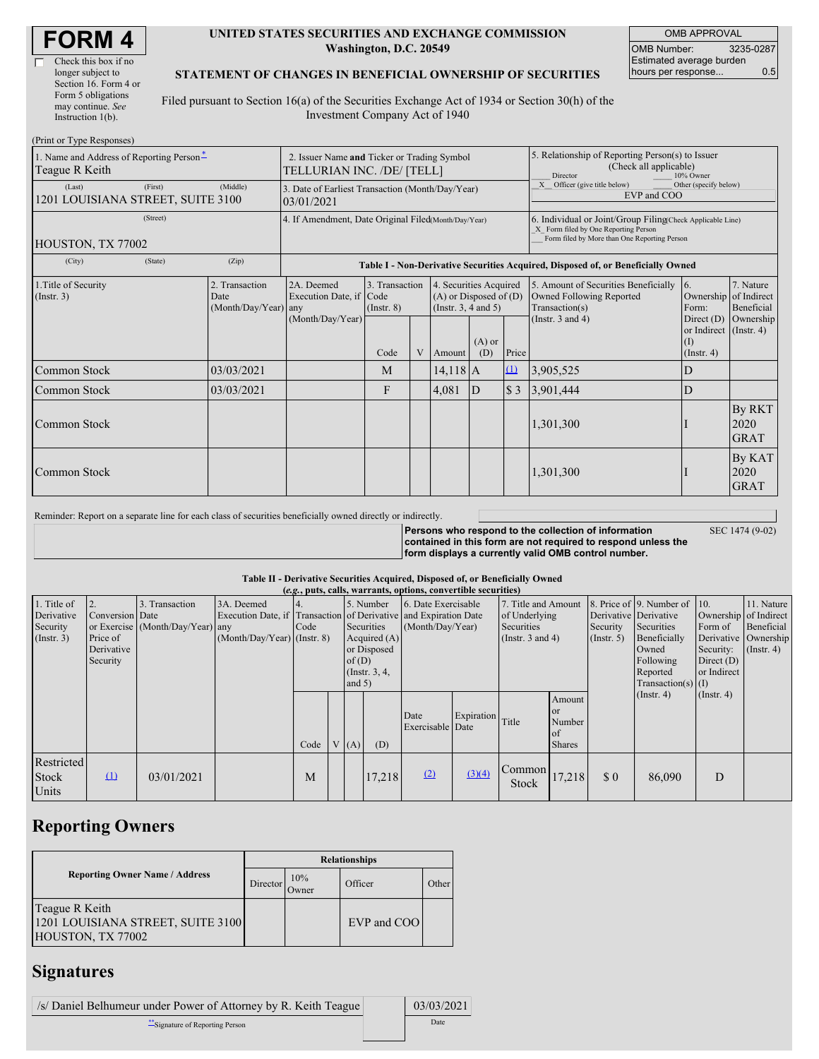г

### **UNITED STATES SECURITIES AND EXCHANGE COMMISSION Washington, D.C. 20549**

OMB APPROVAL OMB Number: 3235-0287 Estimated average burden hours per response... 0.5

### **STATEMENT OF CHANGES IN BENEFICIAL OWNERSHIP OF SECURITIES**

Filed pursuant to Section 16(a) of the Securities Exchange Act of 1934 or Section 30(h) of the Investment Company Act of 1940

| (Print or Type Responses)                                              |                                                                           |                                                                  |                                                                                  |   |                                                                              |                 |                                                                                                     |                                                                                                                                                    |                                                                   |                                      |
|------------------------------------------------------------------------|---------------------------------------------------------------------------|------------------------------------------------------------------|----------------------------------------------------------------------------------|---|------------------------------------------------------------------------------|-----------------|-----------------------------------------------------------------------------------------------------|----------------------------------------------------------------------------------------------------------------------------------------------------|-------------------------------------------------------------------|--------------------------------------|
| 1. Name and Address of Reporting Person <sup>*</sup><br>Teague R Keith | 2. Issuer Name and Ticker or Trading Symbol<br>TELLURIAN INC. /DE/ [TELL] |                                                                  |                                                                                  |   |                                                                              |                 | 5. Relationship of Reporting Person(s) to Issuer<br>(Check all applicable)<br>10% Owner<br>Director |                                                                                                                                                    |                                                                   |                                      |
| (First)<br>(Last)<br>1201 LOUISIANA STREET, SUITE 3100                 | 3. Date of Earliest Transaction (Month/Day/Year)<br>03/01/2021            |                                                                  |                                                                                  |   |                                                                              |                 | Officer (give title below)<br>X<br>Other (specify below)<br>EVP and COO                             |                                                                                                                                                    |                                                                   |                                      |
| (Street)<br>HOUSTON, TX 77002                                          |                                                                           | 4. If Amendment, Date Original Filed(Month/Day/Year)             |                                                                                  |   |                                                                              |                 |                                                                                                     | 6. Individual or Joint/Group Filing(Check Applicable Line)<br>X Form filed by One Reporting Person<br>Form filed by More than One Reporting Person |                                                                   |                                      |
| (City)<br>(State)                                                      | (Zip)                                                                     |                                                                  | Table I - Non-Derivative Securities Acquired, Disposed of, or Beneficially Owned |   |                                                                              |                 |                                                                                                     |                                                                                                                                                    |                                                                   |                                      |
| 1. Title of Security<br>$($ Instr. 3 $)$                               | 2. Transaction<br>Date<br>(Month/Day/Year)                                | 2A. Deemed<br>Execution Date, if Code<br>any<br>(Month/Day/Year) | 3. Transaction<br>$($ Instr. $8)$                                                |   | 4. Securities Acquired<br>$(A)$ or Disposed of $(D)$<br>(Insert. 3, 4 and 5) |                 |                                                                                                     | 5. Amount of Securities Beneficially<br>Owned Following Reported<br>Transaction(s)                                                                 | $\overline{6}$ .<br>Ownership of Indirect<br>Form:                | 7. Nature<br>Beneficial              |
|                                                                        |                                                                           |                                                                  | Code                                                                             | V | Amount                                                                       | $(A)$ or<br>(D) | Price                                                                                               | (Instr. $3$ and $4$ )                                                                                                                              | Direct $(D)$<br>or Indirect (Instr. 4)<br>(I)<br>$($ Instr. 4 $)$ | Ownership                            |
| Common Stock                                                           | 03/03/2021                                                                |                                                                  | M                                                                                |   | $14,118$ A                                                                   |                 | $\mathbf{u}$                                                                                        | 3,905,525                                                                                                                                          | D                                                                 |                                      |
| Common Stock                                                           | 03/03/2021                                                                |                                                                  | F                                                                                |   | 4,081                                                                        | $\mathbf{D}$    | \$3                                                                                                 | 3,901,444                                                                                                                                          | D                                                                 |                                      |
| Common Stock                                                           |                                                                           |                                                                  |                                                                                  |   |                                                                              |                 |                                                                                                     | 1,301,300                                                                                                                                          |                                                                   | <b>By RKT</b><br>2020<br><b>GRAT</b> |
| Common Stock                                                           |                                                                           |                                                                  |                                                                                  |   |                                                                              |                 |                                                                                                     | 1,301,300                                                                                                                                          |                                                                   | By KAT<br>2020<br><b>GRAT</b>        |

Reminder: Report on a separate line for each class of securities beneficially owned directly or indirectly.

**Persons who respond to the collection of information contained in this form are not required to respond unless the form displays a currently valid OMB control number.** SEC 1474 (9-02)

#### **Table II - Derivative Securities Acquired, Disposed of, or Beneficially Owned**

| (e.g., puts, calls, warrants, options, convertible securities) |                  |                                  |                               |                    |             |                       |           |                                                                  |                  |                     |                      |                      |                              |                       |            |
|----------------------------------------------------------------|------------------|----------------------------------|-------------------------------|--------------------|-------------|-----------------------|-----------|------------------------------------------------------------------|------------------|---------------------|----------------------|----------------------|------------------------------|-----------------------|------------|
| 1. Title of                                                    | $\overline{2}$ . | 3. Transaction                   | 3A. Deemed                    | 14.                |             |                       | 5. Number | 6. Date Exercisable                                              |                  | 7. Title and Amount |                      |                      | 8. Price of 9. Number of 10. |                       | 11. Nature |
| Derivative                                                     | Conversion Date  |                                  |                               |                    |             |                       |           | Execution Date, if Transaction of Derivative and Expiration Date |                  | of Underlying       |                      |                      | Derivative Derivative        | Ownership of Indirect |            |
| Security                                                       |                  | or Exercise (Month/Day/Year) any |                               | Securities<br>Code |             | (Month/Day/Year)      |           | Securities                                                       |                  | Security            | Securities           | Form of              | Beneficial                   |                       |            |
| (Insert. 3)                                                    | Price of         |                                  | $(Month/Day/Year)$ (Instr. 8) | Acquired $(A)$     |             | (Instr. $3$ and $4$ ) |           |                                                                  | $($ Instr. 5 $)$ | Beneficially        |                      | Derivative Ownership |                              |                       |            |
|                                                                | Derivative       |                                  |                               |                    | or Disposed |                       |           |                                                                  |                  |                     |                      | Owned                | Security:                    | $($ Instr. 4 $)$      |            |
|                                                                | Security         |                                  |                               | of(D)              |             |                       |           |                                                                  |                  |                     | Following            | Direct $(D)$         |                              |                       |            |
|                                                                |                  |                                  |                               | $($ Instr. $3, 4,$ |             |                       |           |                                                                  |                  |                     | Reported             | or Indirect          |                              |                       |            |
|                                                                |                  |                                  |                               | and $5)$           |             |                       |           |                                                                  |                  |                     | $Transaction(s)$ (I) |                      |                              |                       |            |
|                                                                |                  |                                  |                               |                    |             |                       |           |                                                                  |                  |                     | Amount               |                      | $($ Instr. 4 $)$             | $($ Instr. 4 $)$      |            |
|                                                                |                  |                                  |                               |                    |             |                       |           | Date                                                             |                  |                     | <b>or</b>            |                      |                              |                       |            |
|                                                                |                  |                                  |                               |                    |             |                       |           | Exercisable Date                                                 | Expiration Title |                     | Number               |                      |                              |                       |            |
|                                                                |                  |                                  |                               |                    |             |                       |           |                                                                  |                  |                     | of                   |                      |                              |                       |            |
|                                                                |                  |                                  |                               | Code               |             | V(A)                  | (D)       |                                                                  |                  |                     | <b>Shares</b>        |                      |                              |                       |            |
| Restricted                                                     |                  |                                  |                               |                    |             |                       |           |                                                                  |                  |                     |                      |                      |                              |                       |            |
| <b>Stock</b>                                                   | $\Omega$         | 03/01/2021                       |                               | M                  |             |                       | 17.218    | (2)                                                              | (3)(4)           | Common              | 17,218               | \$0                  | 86,090                       | D                     |            |
|                                                                |                  |                                  |                               |                    |             |                       |           |                                                                  |                  | Stock               |                      |                      |                              |                       |            |
| Units                                                          |                  |                                  |                               |                    |             |                       |           |                                                                  |                  |                     |                      |                      |                              |                       |            |

# **Reporting Owners**

|                                                                          | <b>Relationships</b> |              |             |       |  |  |  |  |
|--------------------------------------------------------------------------|----------------------|--------------|-------------|-------|--|--|--|--|
| <b>Reporting Owner Name / Address</b><br>Director'                       |                      | 10%<br>Owner | Officer     | Other |  |  |  |  |
| Teague R Keith<br>1201 LOUISIANA STREET, SUITE 3100<br>HOUSTON, TX 77002 |                      |              | EVP and COO |       |  |  |  |  |

## **Signatures**

| /s/ Daniel Belhumeur under Power of Attorney by R. Keith Teague | 03/03/2021 |
|-----------------------------------------------------------------|------------|
| Signature of Reporting Person                                   | Date       |